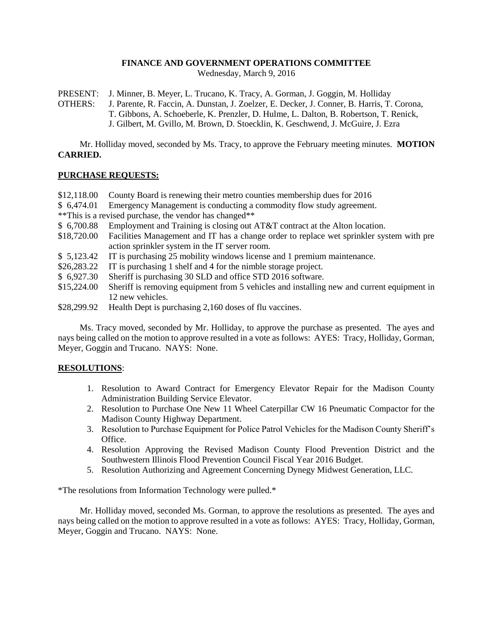# **FINANCE AND GOVERNMENT OPERATIONS COMMITTEE**

Wednesday, March 9, 2016

PRESENT: J. Minner, B. Meyer, L. Trucano, K. Tracy, A. Gorman, J. Goggin, M. Holliday

OTHERS: J. Parente, R. Faccin, A. Dunstan, J. Zoelzer, E. Decker, J. Conner, B. Harris, T. Corona, T. Gibbons, A. Schoeberle, K. Prenzler, D. Hulme, L. Dalton, B. Robertson, T. Renick, J. Gilbert, M. Gvillo, M. Brown, D. Stoecklin, K. Geschwend, J. McGuire, J. Ezra

Mr. Holliday moved, seconded by Ms. Tracy, to approve the February meeting minutes. **MOTION CARRIED.**

### **PURCHASE REQUESTS:**

- \$12,118.00 County Board is renewing their metro counties membership dues for 2016
- \$ 6,474.01 Emergency Management is conducting a commodity flow study agreement.
- \*\*This is a revised purchase, the vendor has changed\*\*
- \$ 6,700.88 Employment and Training is closing out AT&T contract at the Alton location.
- \$18,720.00 Facilities Management and IT has a change order to replace wet sprinkler system with pre action sprinkler system in the IT server room.
- \$ 5,123.42 IT is purchasing 25 mobility windows license and 1 premium maintenance.
- \$26,283.22 IT is purchasing 1 shelf and 4 for the nimble storage project.
- \$ 6,927.30 Sheriff is purchasing 30 SLD and office STD 2016 software.
- \$15,224.00 Sheriff is removing equipment from 5 vehicles and installing new and current equipment in 12 new vehicles.
- \$28,299.92 Health Dept is purchasing 2,160 doses of flu vaccines.

Ms. Tracy moved, seconded by Mr. Holliday, to approve the purchase as presented. The ayes and nays being called on the motion to approve resulted in a vote as follows: AYES: Tracy, Holliday, Gorman, Meyer, Goggin and Trucano. NAYS: None.

# **RESOLUTIONS**:

- 1. Resolution to Award Contract for Emergency Elevator Repair for the Madison County Administration Building Service Elevator.
- 2. Resolution to Purchase One New 11 Wheel Caterpillar CW 16 Pneumatic Compactor for the Madison County Highway Department.
- 3. Resolution to Purchase Equipment for Police Patrol Vehicles for the Madison County Sheriff's Office.
- 4. Resolution Approving the Revised Madison County Flood Prevention District and the Southwestern Illinois Flood Prevention Council Fiscal Year 2016 Budget.
- 5. Resolution Authorizing and Agreement Concerning Dynegy Midwest Generation, LLC.

\*The resolutions from Information Technology were pulled.\*

Mr. Holliday moved, seconded Ms. Gorman, to approve the resolutions as presented. The ayes and nays being called on the motion to approve resulted in a vote as follows: AYES: Tracy, Holliday, Gorman, Meyer, Goggin and Trucano. NAYS: None.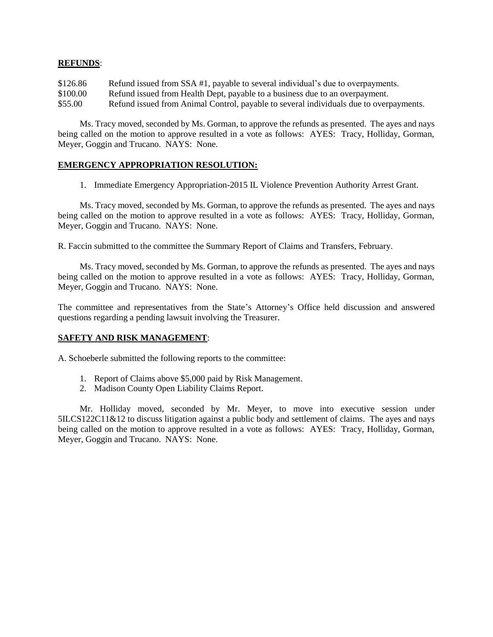### **REFUNDS**:

\$126.86 Refund issued from SSA #1, payable to several individual's due to overpayments. \$100.00 Refund issued from Health Dept, payable to a business due to an overpayment. \$55.00 Refund issued from Animal Control, payable to several individuals due to overpayments.

Ms. Tracy moved, seconded by Ms. Gorman, to approve the refunds as presented. The ayes and nays being called on the motion to approve resulted in a vote as follows: AYES: Tracy, Holliday, Gorman, Meyer, Goggin and Trucano. NAYS: None.

### **EMERGENCY APPROPRIATION RESOLUTION:**

1. Immediate Emergency Appropriation-2015 IL Violence Prevention Authority Arrest Grant.

Ms. Tracy moved, seconded by Ms. Gorman, to approve the refunds as presented. The ayes and nays being called on the motion to approve resulted in a vote as follows: AYES: Tracy, Holliday, Gorman, Meyer, Goggin and Trucano. NAYS: None.

R. Faccin submitted to the committee the Summary Report of Claims and Transfers, February.

Ms. Tracy moved, seconded by Ms. Gorman, to approve the refunds as presented. The ayes and nays being called on the motion to approve resulted in a vote as follows: AYES: Tracy, Holliday, Gorman, Meyer, Goggin and Trucano. NAYS: None.

The committee and representatives from the State's Attorney's Office held discussion and answered questions regarding a pending lawsuit involving the Treasurer.

# **SAFETY AND RISK MANAGEMENT**:

A. Schoeberle submitted the following reports to the committee:

- 1. Report of Claims above \$5,000 paid by Risk Management.
- 2. Madison County Open Liability Claims Report.

Mr. Holliday moved, seconded by Mr. Meyer, to move into executive session under 5ILCS122C11&12 to discuss litigation against a public body and settlement of claims. The ayes and nays being called on the motion to approve resulted in a vote as follows: AYES: Tracy, Holliday, Gorman, Meyer, Goggin and Trucano. NAYS: None.